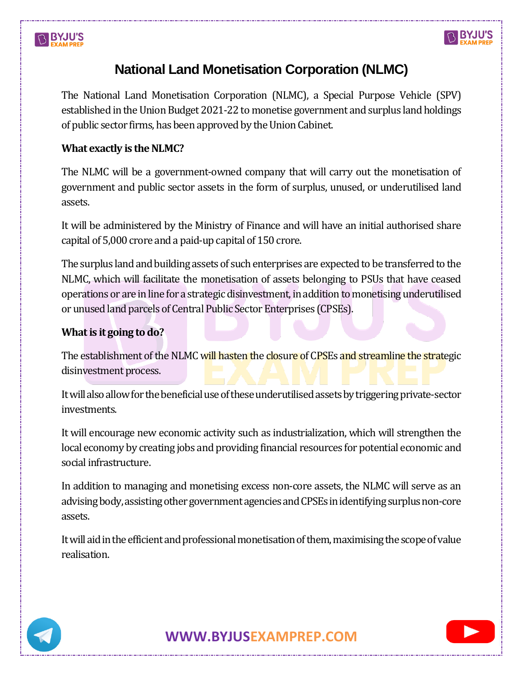# **BYJU'S**



# **National Land Monetisation Corporation (NLMC)**

The National Land Monetisation Corporation (NLMC), a Special Purpose Vehicle (SPV) established in the Union Budget 2021-22 to monetise government and surplus land holdings of public sector firms, has been approved by the Union Cabinet.

### **What exactly is the NLMC?**

The NLMC will be a government-owned company that will carry out the monetisation of government and public sector assets in the form of surplus, unused, or underutilised land assets.

It will be administered by the Ministry of Finance and will have an initial authorised share capital of 5,000 crore and a paid-up capital of 150 crore.

The surplus land and building assets of such enterprises are expected to be transferred to the NLMC, which will facilitate the monetisation of assets belonging to PSUs that have ceased operations or are in line for a strategic disinvestment, in addition to monetising underutilised or unused land parcels of Central Public Sector Enterprises (CPSEs).

## **What is it going to do?**

The establishment of the NLMC will hasten the closure of CPSEs and streamline the strategic disinvestment process.

It will also allow for the beneficial use of these underutilised assets by triggering private-sector investments.

It will encourage new economic activity such as industrialization, which will strengthen the local economy by creating jobs and providing financial resources for potential economic and social infrastructure.

In addition to managing and monetising excess non-core assets, the NLMC will serve as an advising body, assisting other government agencies and CPSEs in identifying surplus non-core assets.

It will aid in the efficient and professional monetisation of them, maximising the scope of value realisation.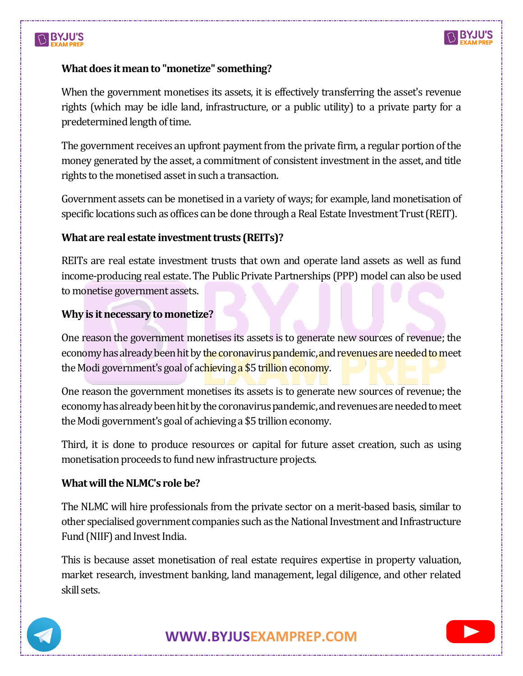# **BYJU'S**



#### **What does it mean to "monetize" something?**

When the government monetises its assets, it is effectively transferring the asset's revenue rights (which may be idle land, infrastructure, or a public utility) to a private party for a predetermined length of time.

The government receives an upfront payment from the private firm, a regular portion of the money generated by the asset, a commitment of consistent investment in the asset, and title rights to the monetised asset in such a transaction.

Government assets can be monetised in a variety of ways; for example, land monetisation of specific locations such as offices can be done through a Real Estate Investment Trust (REIT).

#### **What are real estate investment trusts (REITs)?**

REITs are real estate investment trusts that own and operate land assets as well as fund income-producing real estate. The Public Private Partnerships (PPP) model can also be used to monetise government assets.

#### **Why is it necessary to monetize?**

One reason the government monetises its assets is to generate new sources of revenue; the economy has already been hit by the coronavirus pandemic, and revenues are needed to meet the Modi government's goal of achieving a \$5 trillion economy.

One reason the government monetises its assets is to generate new sources of revenue; the economy has already been hit by the coronavirus pandemic, and revenues are needed to meet the Modi government's goal of achieving a \$5 trillion economy.

Third, it is done to produce resources or capital for future asset creation, such as using monetisation proceeds to fund new infrastructure projects.

### **What will the NLMC's role be?**

The NLMC will hire professionals from the private sector on a merit-based basis, similar to other specialised government companies such as the National Investment and Infrastructure Fund (NIIF) and Invest India.

This is because asset monetisation of real estate requires expertise in property valuation, market research, investment banking, land management, legal diligence, and other related skill sets.



**[WWW.BYJUSEXAMPREP.COM](https://byjusexamprep.com/)**